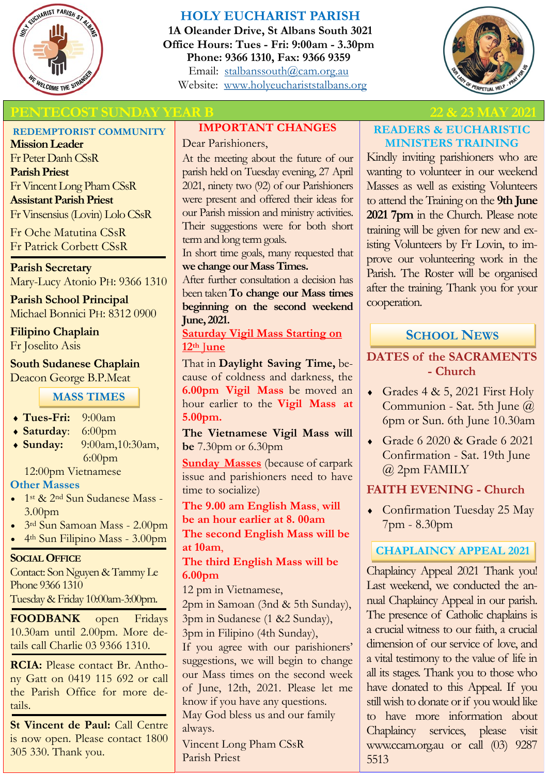

## **HOLY EUCHARIST PARISH**

**1A Oleander Drive, St Albans South 3021 Office Hours: Tues - Fri: 9:00am - 3.30pm Phone: 9366 1310, Fax: 9366 9359** Email: [stalbanssouth@cam.org.au](mailto:stalbanssouth@cam.org.au) Website:[www.holyeuchariststalbans.org](http://www.holyeuchariststalbans.org)



# **PENTECOST SUNDAY YEAR B**

### **REDEMPTORIST COMMUNITY**

**Mission Leader** Fr Peter Danh CSsR **Parish Priest** Fr Vincent Long Pham CSsR **Assistant Parish Priest**  Fr Vinsensius (Lovin) Lolo CSsR

Fr Oche Matutina CSsR Fr Patrick Corbett CSsR

**Parish Secretary** Mary-Lucy Atonio PH: 9366 1310

**Parish School Principal** Michael Bonnici PH: 8312 0900

**Filipino Chaplain** Fr Joselito Asis

**South Sudanese Chaplain** Deacon George B.P.Meat

## **MASS TIMES**

- **Tues-Fri:** 9:00am
- **Saturday**: 6:00pm
- **Sunday:** 9:00am,10:30am, 6:00pm

12:00pm Vietnamese

#### **Other Masses**

- 1<sup>st</sup> & 2<sup>nd</sup> Sun Sudanese Mass -3.00pm
- 3rd Sun Samoan Mass 2.00pm
- 4th Sun Filipino Mass 3.00pm

## **SOCIAL OFFICE**

Contact: Son Nguyen & Tammy Le Phone 9366 1310 Tuesday & Friday 10:00am-3:00pm.

**FOODBANK** open Fridays 10.30am until 2.00pm. More details call Charlie 03 9366 1310.

**RCIA:** Please contact Br. Anthony Gatt on 0419 115 692 or call the Parish Office for more details.

**St Vincent de Paul:** Call Centre is now open. Please contact 1800 305 330. Thank you.

### **IMPORTANT CHANGES**

Dear Parishioners,

At the meeting about the future of our parish held on Tuesday evening, 27 April 2021, ninety two (92) of our Parishioners were present and offered their ideas for our Parish mission and ministry activities. Their suggestions were for both short term and long term goals.

In short time goals, many requested that **we change our Mass Times.**

After further consultation a decision has been taken **To change our Mass times beginning on the second weekend June, 2021.**

**Saturday Vigil Mass Starting on 12th** J**une**

That in **Daylight Saving Time,** because of coldness and darkness, the **6.00pm Vigil Mass** be moved an hour earlier to the **Vigil Mass at 5.00pm.** 

**The Vietnamese Vigil Mass will be** 7.30pm or 6.30pm

**Sunday Masses** (because of carpark issue and parishioners need to have time to socialize)

**The 9.00 am English Mass**, **will be an hour earlier at 8. 00am The second English Mass will be at 10am**,

**The third English Mass will be 6.00pm**

12 pm in Vietnamese,

2pm in Samoan (3nd & 5th Sunday), 3pm in Sudanese (1 &2 Sunday), 3pm in Filipino (4th Sunday),

If you agree with our parishioners' suggestions, we will begin to change our Mass times on the second week of June, 12th, 2021. Please let me know if you have any questions. May God bless us and our family always.

Vincent Long Pham CSsR Parish Priest

## **READERS & EUCHARISTIC MINISTERS TRAINING**

Kindly inviting parishioners who are wanting to volunteer in our weekend Masses as well as existing Volunteers to attend the Training on the **9th June 2021 7pm** in the Church. Please note training will be given for new and existing Volunteers by Fr Lovin, to improve our volunteering work in the Parish. The Roster will be organised after the training. Thank you for your cooperation.

# **SCHOOL NEWS**

## **DATES of the SACRAMENTS - Church**

- Grades  $4 & 5$ , 2021 First Holy Communion - Sat. 5th June @ 6pm or Sun. 6th June 10.30am
- Grade 6 2020 & Grade 6 2021 Confirmation - Sat. 19th June @ 2pm FAMILY

# **FAITH EVENING - Church**

• Confirmation Tuesday 25 May 7pm - 8.30pm

# **CHAPLAINCY APPEAL 2021**

Chaplaincy Appeal 2021 Thank you! Last weekend, we conducted the annual Chaplaincy Appeal in our parish. The presence of Catholic chaplains is a crucial witness to our faith, a crucial dimension of our service of love, and a vital testimony to the value of life in all its stages. Thank you to those who have donated to this Appeal. If you still wish to donate or if you would like to have more information about Chaplaincy services, please visit www.ccam.org.au or call (03) 9287 5513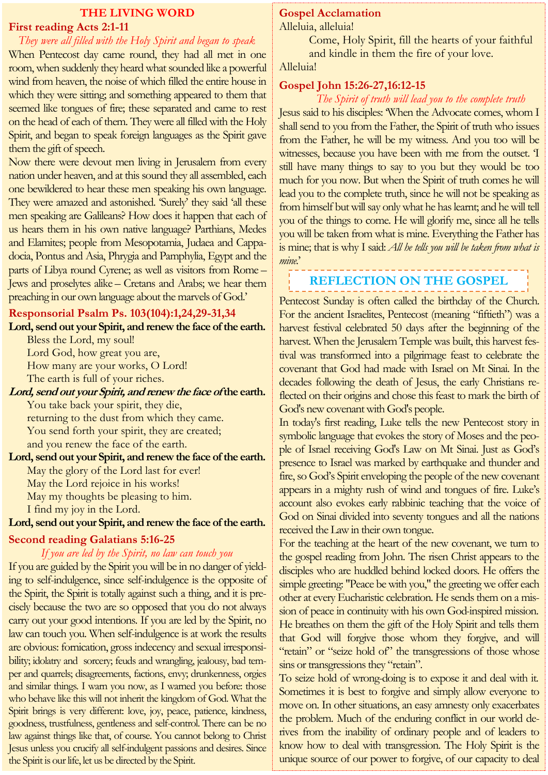#### **THE LIVING WORD**

# **First reading Acts 2:1-11**

*They were all filled with the Holy Spirit and began to speak*

When Pentecost day came round, they had all met in one room, when suddenly they heard what sounded like a powerful wind from heaven, the noise of which filled the entire house in which they were sitting; and something appeared to them that seemed like tongues of fire; these separated and came to rest on the head of each of them. They were all filled with the Holy Spirit, and began to speak foreign languages as the Spirit gave them the gift of speech.

Now there were devout men living in Jerusalem from every nation under heaven, and at this sound they all assembled, each one bewildered to hear these men speaking his own language. They were amazed and astonished. 'Surely' they said 'all these men speaking are Galileans? How does it happen that each of us hears them in his own native language? Parthians, Medes and Elamites; people from Mesopotamia, Judaea and Cappadocia, Pontus and Asia, Phrygia and Pamphylia, Egypt and the parts of Libya round Cyrene; as well as visitors from Rome – Jews and proselytes alike – Cretans and Arabs; we hear them preaching in our own language about the marvels of God.'

#### **Responsorial Psalm Ps. 103(104):1,24,29-31,34**

# **Lord, send out your Spirit, and renew the face of the earth.**

Bless the Lord, my soul! Lord God, how great you are,

How many are your works, O Lord! The earth is full of your riches.

Lord, send out your Spirit, and renew the face of the earth. You take back your spirit, they die, returning to the dust from which they came. You send forth your spirit, they are created; and you renew the face of the earth.

**Lord, send out your Spirit, and renew the face of the earth.** May the glory of the Lord last for ever! May the Lord rejoice in his works! May my thoughts be pleasing to him. I find my joy in the Lord.

**Lord, send out your Spirit, and renew the face of the earth.**

#### **Second reading Galatians 5:16-25**

#### *If you are led by the Spirit, no law can touch you*

If you are guided by the Spirit you will be in no danger of yielding to self-indulgence, since self-indulgence is the opposite of the Spirit, the Spirit is totally against such a thing, and it is precisely because the two are so opposed that you do not always carry out your good intentions. If you are led by the Spirit, no law can touch you. When self-indulgence is at work the results are obvious: fornication, gross indecency and sexual irresponsibility; idolatry and sorcery; feuds and wrangling, jealousy, bad temper and quarrels; disagreements, factions, envy; drunkenness, orgies and similar things. I warn you now, as I warned you before: those who behave like this will not inherit the kingdom of God. What the Spirit brings is very different: love, joy, peace, patience, kindness, goodness, trustfulness, gentleness and self-control. There can be no law against things like that, of course. You cannot belong to Christ Jesus unless you crucify all self-indulgent passions and desires. Since the Spirit is our life, let us be directed by the Spirit.

# **Gospel Acclamation**

Alleluia, alleluia!

Come, Holy Spirit, fill the hearts of your faithful and kindle in them the fire of your love. Alleluia!

#### **Gospel John 15:26-27,16:12-15**

#### *The Spirit of truth will lead you to the complete truth*

Jesus said to his disciples: 'When the Advocate comes, whom I shall send to you from the Father, the Spirit of truth who issues from the Father, he will be my witness. And you too will be witnesses, because you have been with me from the outset. T still have many things to say to you but they would be too much for you now. But when the Spirit of truth comes he will lead you to the complete truth, since he will not be speaking as from himself but will say only what he has learnt; and he will tell you of the things to come. He will glorify me, since all he tells you will be taken from what is mine. Everything the Father has is mine; that is why I said: *All he tells you will be taken from what is mine*.'

#### **REFLECTION ON THE GOSPEL**

Pentecost Sunday is often called the birthday of the Church. For the ancient Israelites, Pentecost (meaning "fiftieth") was a harvest festival celebrated 50 days after the beginning of the harvest. When the Jerusalem Temple was built, this harvest festival was transformed into a pilgrimage feast to celebrate the covenant that God had made with Israel on Mt Sinai. In the decades following the death of Jesus, the early Christians reflected on their origins and chose this feast to mark the birth of God's new covenant with God's people.

In today's first reading, Luke tells the new Pentecost story in symbolic language that evokes the story of Moses and the people of Israel receiving God's Law on Mt Sinai. Just as God's presence to Israel was marked by earthquake and thunder and fire, so God's Spirit enveloping the people of the new covenant appears in a mighty rush of wind and tongues of fire. Luke's account also evokes early rabbinic teaching that the voice of God on Sinai divided into seventy tongues and all the nations received the Law in their own tongue.

For the teaching at the heart of the new covenant, we turn to the gospel reading from John. The risen Christ appears to the disciples who are huddled behind locked doors. He offers the simple greeting: "Peace be with you," the greeting we offer each other at every Eucharistic celebration. He sends them on a mission of peace in continuity with his own God-inspired mission. He breathes on them the gift of the Holy Spirit and tells them that God will forgive those whom they forgive, and will "retain" or "seize hold of" the transgressions of those whose sins or transgressions they "retain".

To seize hold of wrong-doing is to expose it and deal with it. Sometimes it is best to forgive and simply allow everyone to move on. In other situations, an easy amnesty only exacerbates the problem. Much of the enduring conflict in our world derives from the inability of ordinary people and of leaders to know how to deal with transgression. The Holy Spirit is the unique source of our power to forgive, of our capacity to deal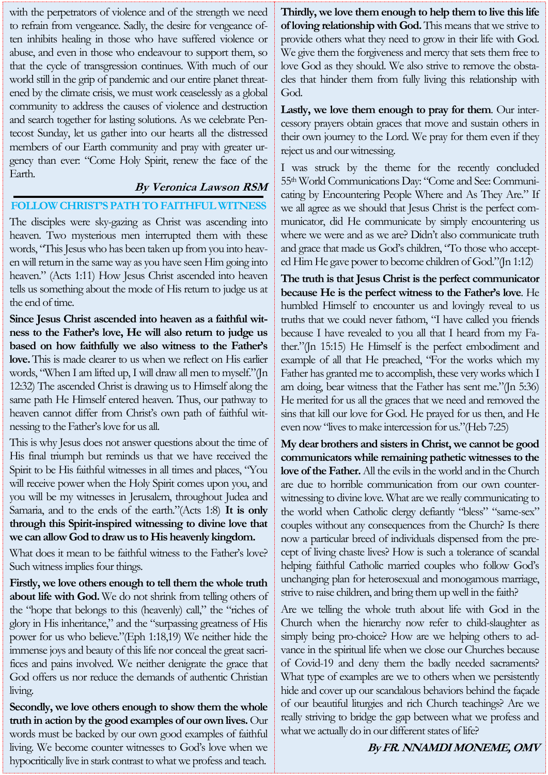with the perpetrators of violence and of the strength we need to refrain from vengeance. Sadly, the desire for vengeance often inhibits healing in those who have suffered violence or abuse, and even in those who endeavour to support them, so that the cycle of transgression continues. With much of our world still in the grip of pandemic and our entire planet threatened by the climate crisis, we must work ceaselessly as a global community to address the causes of violence and destruction and search together for lasting solutions. As we celebrate Pentecost Sunday, let us gather into our hearts all the distressed members of our Earth community and pray with greater urgency than ever: "Come Holy Spirit, renew the face of the Earth.

#### **By Veronica Lawson RSM**

#### **FOLLOW CHRIST'S PATH TO FAITHFUL WITNESS**

The disciples were sky-gazing as Christ was ascending into heaven. Two mysterious men interrupted them with these words, "This Jesus who has been taken up from you into heaven will return in the same way as you have seen Him going into heaven." (Acts 1:11) How Jesus Christ ascended into heaven tells us something about the mode of His return to judge us at the end of time.

**Since Jesus Christ ascended into heaven as a faithful witness to the Father's love, He will also return to judge us based on how faithfully we also witness to the Father's love.**This is made clearer to us when we reflect on His earlier words, "When I am lifted up, I will draw all men to myself."(Jn 12:32) The ascended Christ is drawing us to Himself along the same path He Himself entered heaven. Thus, our pathway to heaven cannot differ from Christ's own path of faithful witnessing to the Father's love for us all.

This is why Jesus does not answer questions about the time of His final triumph but reminds us that we have received the Spirit to be His faithful witnesses in all times and places, "You will receive power when the Holy Spirit comes upon you, and you will be my witnesses in Jerusalem, throughout Judea and Samaria, and to the ends of the earth."(Acts 1:8) **It is only through this Spirit-inspired witnessing to divine love that we can allow God to draw us to His heavenly kingdom.**

What does it mean to be faithful witness to the Father's love? Such witness implies four things.

**Firstly, we love others enough to tell them the whole truth about life with God.**We do not shrink from telling others of the "hope that belongs to this (heavenly) call," the "riches of glory in His inheritance," and the "surpassing greatness of His power for us who believe."(Eph 1:18,19) We neither hide the immense joys and beauty of this life nor conceal the great sacrifices and pains involved. We neither denigrate the grace that God offers us nor reduce the demands of authentic Christian living.

**Secondly, we love others enough to show them the whole truth in action by the good examples of our own lives.**Our words must be backed by our own good examples of faithful living. We become counter witnesses to God's love when we hypocritically live in stark contrast to what we profess and teach.

**Thirdly, we love them enough to help them to live this life of loving relationship with God.**This means that we strive to provide others what they need to grow in their life with God. We give them the forgiveness and mercy that sets them free to love God as they should. We also strive to remove the obstacles that hinder them from fully living this relationship with God.

**Lastly, we love them enough to pray for them**. Our intercessory prayers obtain graces that move and sustain others in their own journey to the Lord. We pray for them even if they reject us and our witnessing.

I was struck by the theme for the recently concluded 55th World Communications Day: "Come and See: Communicating by Encountering People Where and As They Are." If we all agree as we should that Jesus Christ is the perfect communicator, did He communicate by simply encountering us where we were and as we are? Didn't also communicate truth and grace that made us God's children, "To those who accepted Him He gave power to become children of God."(Jn 1:12)

**The truth is that Jesus Christ is the perfect communicator because He is the perfect witness to the Father's love**. He humbled Himself to encounter us and lovingly reveal to us truths that we could never fathom, "I have called you friends because I have revealed to you all that I heard from my Father."(Jn 15:15) He Himself is the perfect embodiment and example of all that He preached, "For the works which my Father has granted me to accomplish, these very works which I am doing, bear witness that the Father has sent me."(Jn 5:36) He merited for us all the graces that we need and removed the sins that kill our love for God. He prayed for us then, and He even now "lives to make intercession for us."(Heb 7:25)

**My dear brothers and sisters in Christ, we cannot be good communicators while remaining pathetic witnesses to the love of the Father.**All the evils in the world and in the Church are due to horrible communication from our own counterwitnessing to divine love. What are we really communicating to the world when Catholic clergy defiantly "bless" "same-sex" couples without any consequences from the Church? Is there now a particular breed of individuals dispensed from the precept of living chaste lives? How is such a tolerance of scandal helping faithful Catholic married couples who follow God's unchanging plan for heterosexual and monogamous marriage, strive to raise children, and bring them up well in the faith?

Are we telling the whole truth about life with God in the Church when the hierarchy now refer to child-slaughter as simply being pro-choice? How are we helping others to advance in the spiritual life when we close our Churches because of Covid-19 and deny them the badly needed sacraments? What type of examples are we to others when we persistently hide and cover up our scandalous behaviors behind the façade of our beautiful liturgies and rich Church teachings? Are we really striving to bridge the gap between what we profess and what we actually do in our different states of life?

#### **By FR. NNAMDI MONEME, OMV**